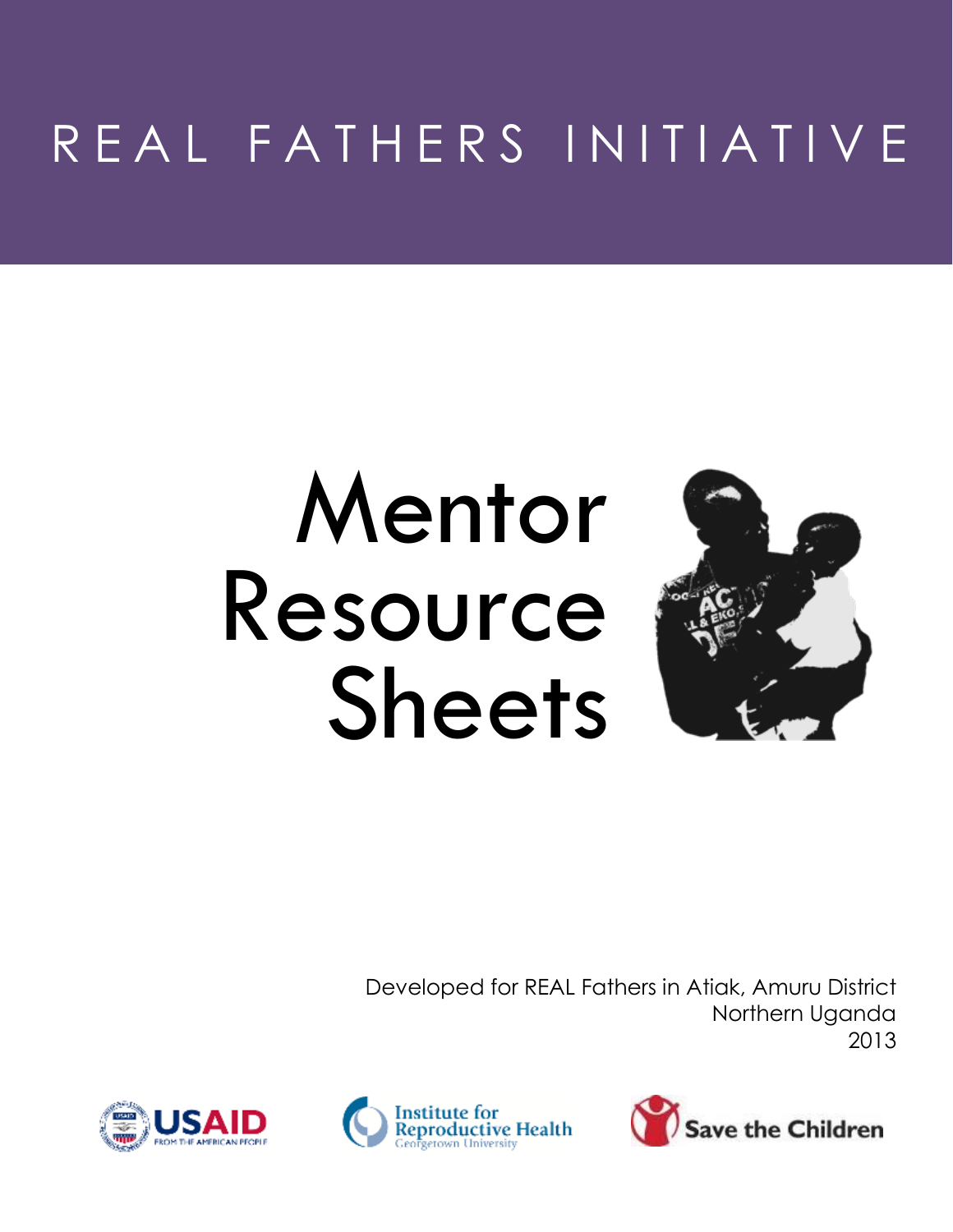# R E A L F A T H E R S I N I T I A T I V E

# Mentor Resource Sheets



Developed for REAL Fathers in Atiak, Amuru District Northern Uganda 2013





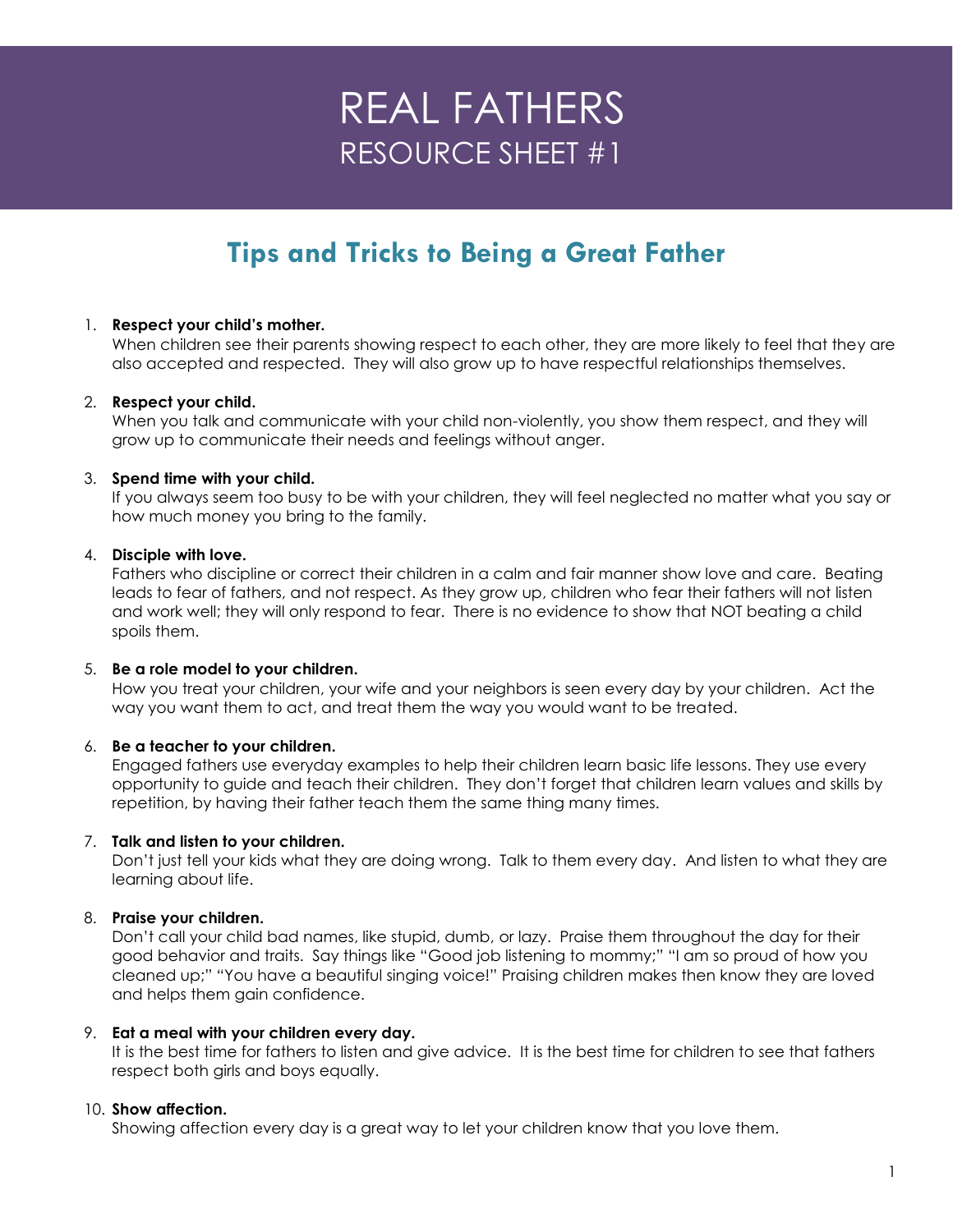# **Tips and Tricks to Being a Great Father**

## 1. **Respect your child's mother.**

When children see their parents showing respect to each other, they are more likely to feel that they are also accepted and respected. They will also grow up to have respectful relationships themselves.

#### 2. **Respect your child.**

When you talk and communicate with your child non-violently, you show them respect, and they will grow up to communicate their needs and feelings without anger.

#### 3. **Spend time with your child.**

If you always seem too busy to be with your children, they will feel neglected no matter what you say or how much money you bring to the family.

#### 4. **Disciple with love.**

Fathers who discipline or correct their children in a calm and fair manner show love and care. Beating leads to fear of fathers, and not respect. As they grow up, children who fear their fathers will not listen and work well; they will only respond to fear. There is no evidence to show that NOT beating a child spoils them.

#### 5. **Be a role model to your children.**

How you treat your children, your wife and your neighbors is seen every day by your children. Act the way you want them to act, and treat them the way you would want to be treated.

## 6. **Be a teacher to your children.**

Engaged fathers use everyday examples to help their children learn basic life lessons. They use every opportunity to guide and teach their children. They don't forget that children learn values and skills by repetition, by having their father teach them the same thing many times.

#### 7. **Talk and listen to your children.**

Don't just tell your kids what they are doing wrong. Talk to them every day. And listen to what they are learning about life.

## 8. **Praise your children.**

Don't call your child bad names, like stupid, dumb, or lazy. Praise them throughout the day for their good behavior and traits. Say things like "Good job listening to mommy;" "I am so proud of how you cleaned up;" "You have a beautiful singing voice!" Praising children makes then know they are loved and helps them gain confidence.

#### 9. **Eat a meal with your children every day.**

It is the best time for fathers to listen and give advice. It is the best time for children to see that fathers respect both girls and boys equally.

## 10. **Show affection.**

Showing affection every day is a great way to let your children know that you love them.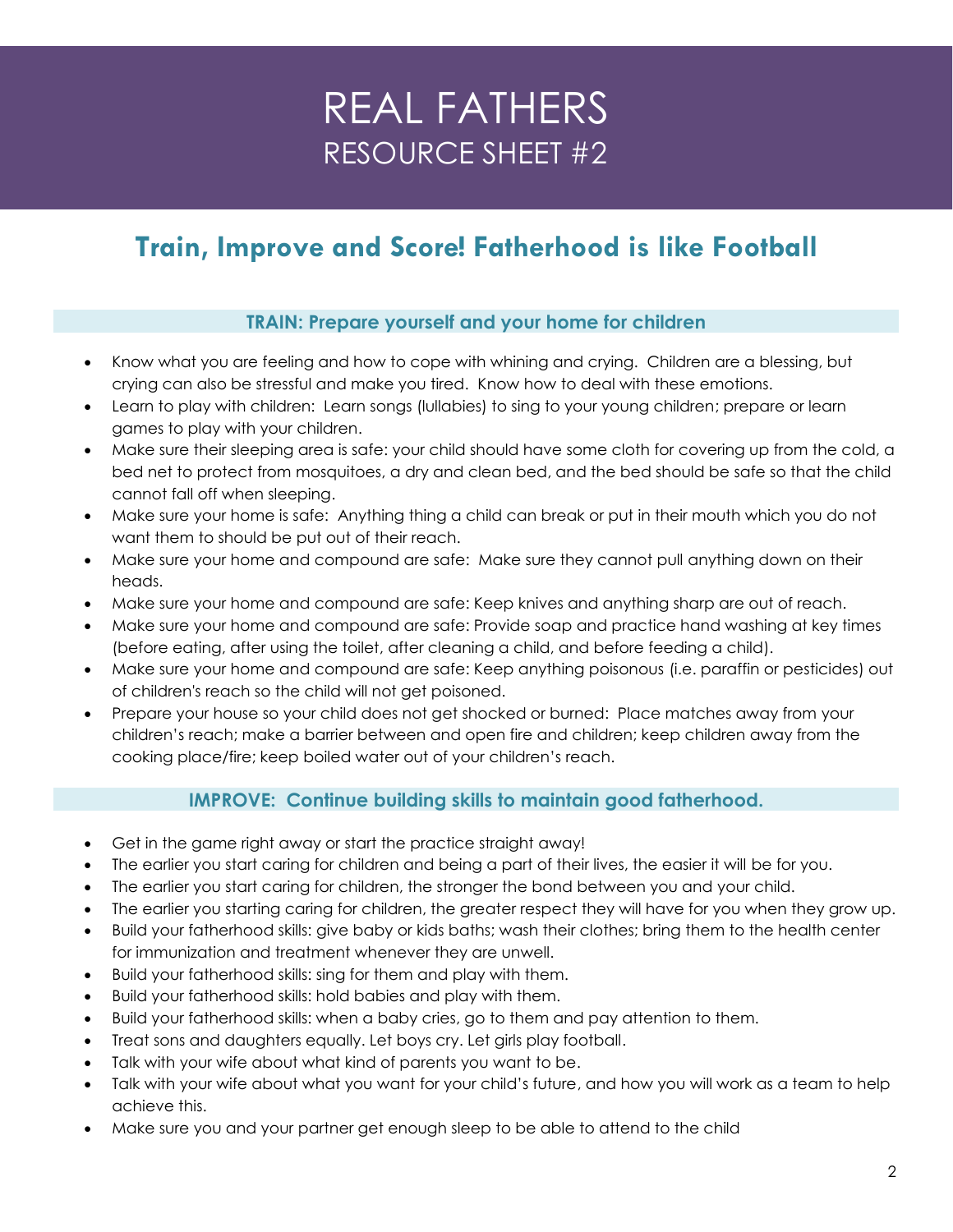# **Train, Improve and Score! Fatherhood is like Football**

## **TRAIN: Prepare yourself and your home for children**

- Know what you are feeling and how to cope with whining and crying. Children are a blessing, but crying can also be stressful and make you tired. Know how to deal with these emotions.
- Learn to play with children: Learn songs (lullabies) to sing to your young children; prepare or learn games to play with your children.
- Make sure their sleeping area is safe: your child should have some cloth for covering up from the cold, a bed net to protect from mosquitoes, a dry and clean bed, and the bed should be safe so that the child cannot fall off when sleeping.
- Make sure your home is safe: Anything thing a child can break or put in their mouth which you do not want them to should be put out of their reach.
- Make sure your home and compound are safe: Make sure they cannot pull anything down on their heads.
- Make sure your home and compound are safe: Keep knives and anything sharp are out of reach.
- Make sure your home and compound are safe: Provide soap and practice hand washing at key times (before eating, after using the toilet, after cleaning a child, and before feeding a child).
- Make sure your home and compound are safe: Keep anything poisonous (i.e. paraffin or pesticides) out of children's reach so the child will not get poisoned.
- Prepare your house so your child does not get shocked or burned: Place matches away from your children's reach; make a barrier between and open fire and children; keep children away from the cooking place/fire; keep boiled water out of your children's reach.

## **IMPROVE: Continue building skills to maintain good fatherhood.**

- Get in the game right away or start the practice straight away!
- The earlier you start caring for children and being a part of their lives, the easier it will be for you.
- The earlier you start caring for children, the stronger the bond between you and your child.
- The earlier you starting caring for children, the greater respect they will have for you when they grow up.
- Build your fatherhood skills: give baby or kids baths; wash their clothes; bring them to the health center for immunization and treatment whenever they are unwell.
- Build your fatherhood skills: sing for them and play with them.
- Build your fatherhood skills: hold babies and play with them.
- Build your fatherhood skills: when a baby cries, go to them and pay attention to them.
- Treat sons and daughters equally. Let boys cry. Let girls play football.
- Talk with your wife about what kind of parents you want to be.
- Talk with your wife about what you want for your child's future, and how you will work as a team to help achieve this.
- Make sure you and your partner get enough sleep to be able to attend to the child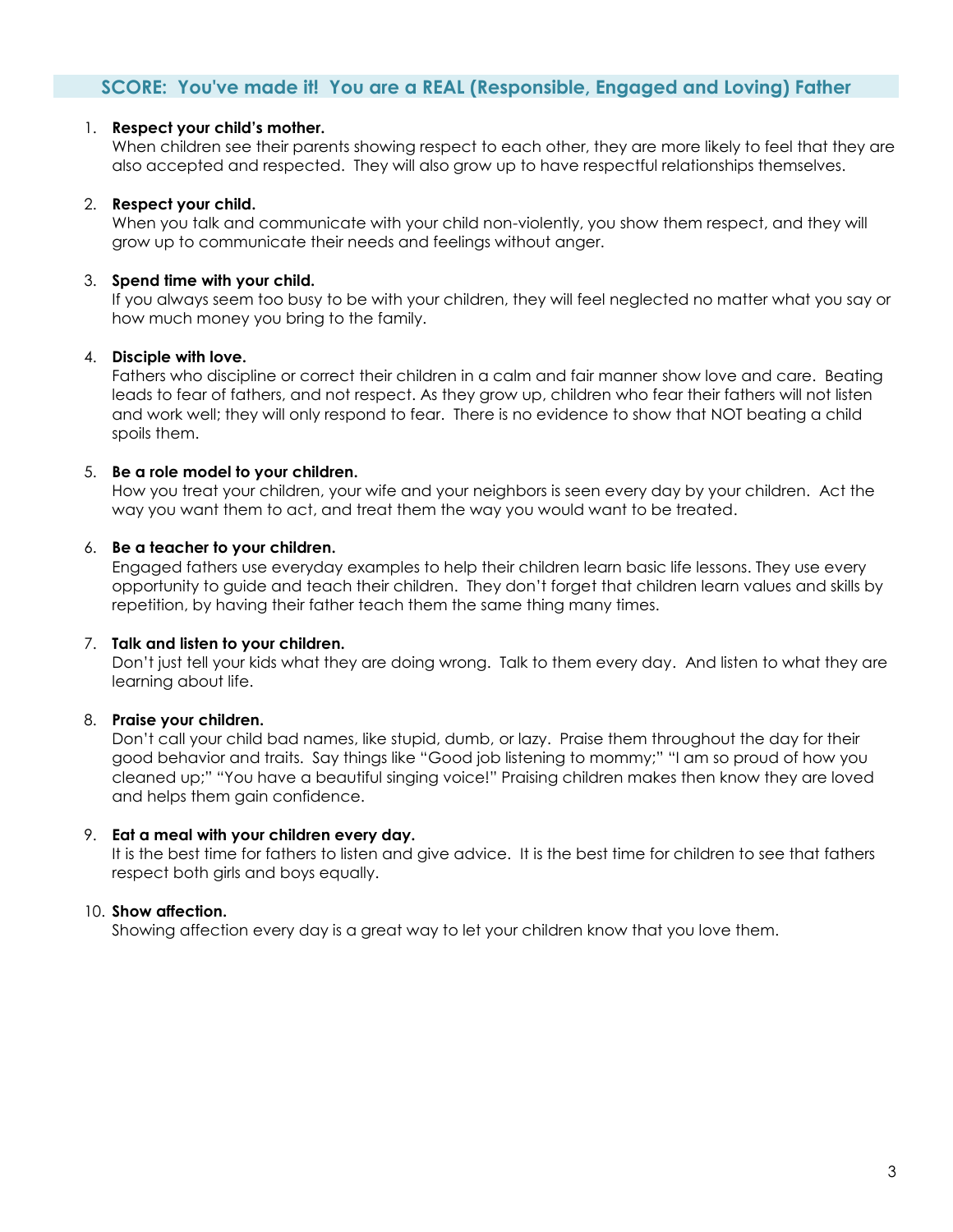## **SCORE: You've made it! You are a REAL (Responsible, Engaged and Loving) Father**

#### 1. **Respect your child's mother.**

When children see their parents showing respect to each other, they are more likely to feel that they are also accepted and respected. They will also grow up to have respectful relationships themselves.

#### 2. **Respect your child.**

When you talk and communicate with your child non-violently, you show them respect, and they will grow up to communicate their needs and feelings without anger.

## 3. **Spend time with your child.**

If you always seem too busy to be with your children, they will feel neglected no matter what you say or how much money you bring to the family.

#### 4. **Disciple with love.**

Fathers who discipline or correct their children in a calm and fair manner show love and care. Beating leads to fear of fathers, and not respect. As they grow up, children who fear their fathers will not listen and work well; they will only respond to fear. There is no evidence to show that NOT beating a child spoils them.

#### 5. **Be a role model to your children.**

How you treat your children, your wife and your neighbors is seen every day by your children. Act the way you want them to act, and treat them the way you would want to be treated.

#### 6. **Be a teacher to your children.**

Engaged fathers use everyday examples to help their children learn basic life lessons. They use every opportunity to guide and teach their children. They don't forget that children learn values and skills by repetition, by having their father teach them the same thing many times.

## 7. **Talk and listen to your children.**

Don't just tell your kids what they are doing wrong. Talk to them every day. And listen to what they are learning about life.

## 8. **Praise your children.**

Don't call your child bad names, like stupid, dumb, or lazy. Praise them throughout the day for their good behavior and traits. Say things like "Good job listening to mommy;" "I am so proud of how you cleaned up;" "You have a beautiful singing voice!" Praising children makes then know they are loved and helps them gain confidence.

#### 9. **Eat a meal with your children every day.**

It is the best time for fathers to listen and give advice. It is the best time for children to see that fathers respect both girls and boys equally.

## 10. **Show affection.**

Showing affection every day is a great way to let your children know that you love them.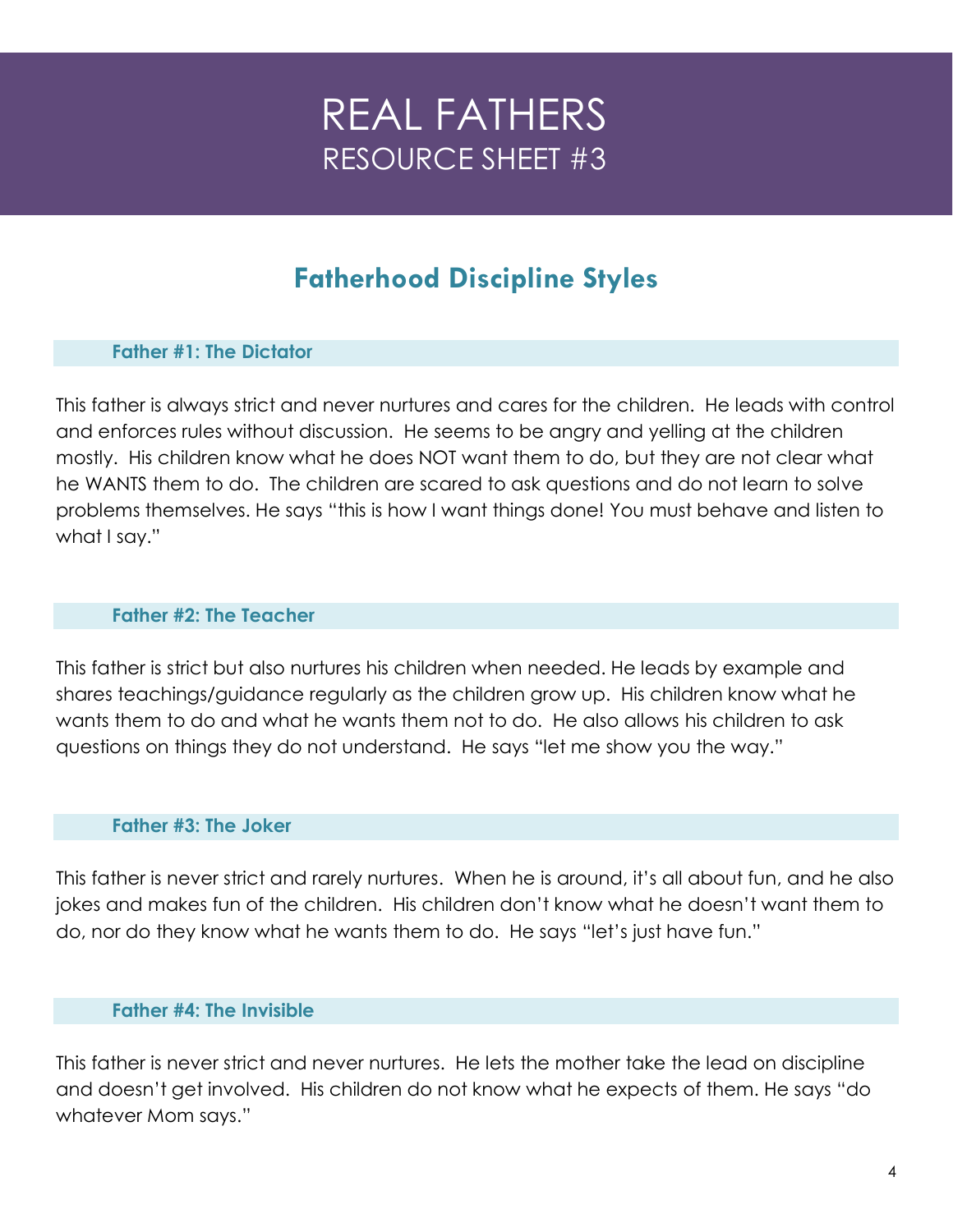# **Fatherhood Discipline Styles**

# **Father #1: The Dictator**

This father is always strict and never nurtures and cares for the children. He leads with control and enforces rules without discussion. He seems to be angry and yelling at the children mostly. His children know what he does NOT want them to do, but they are not clear what he WANTS them to do. The children are scared to ask questions and do not learn to solve problems themselves. He says "this is how I want things done! You must behave and listen to what I say."

## **Father #2: The Teacher**

This father is strict but also nurtures his children when needed. He leads by example and shares teachings/guidance regularly as the children grow up. His children know what he wants them to do and what he wants them not to do. He also allows his children to ask questions on things they do not understand. He says "let me show you the way."

## **Father #3: The Joker**

This father is never strict and rarely nurtures. When he is around, it's all about fun, and he also jokes and makes fun of the children. His children don't know what he doesn't want them to do, nor do they know what he wants them to do. He says "let's just have fun."

## **Father #4: The Invisible**

This father is never strict and never nurtures. He lets the mother take the lead on discipline and doesn't get involved. His children do not know what he expects of them. He says "do whatever Mom says."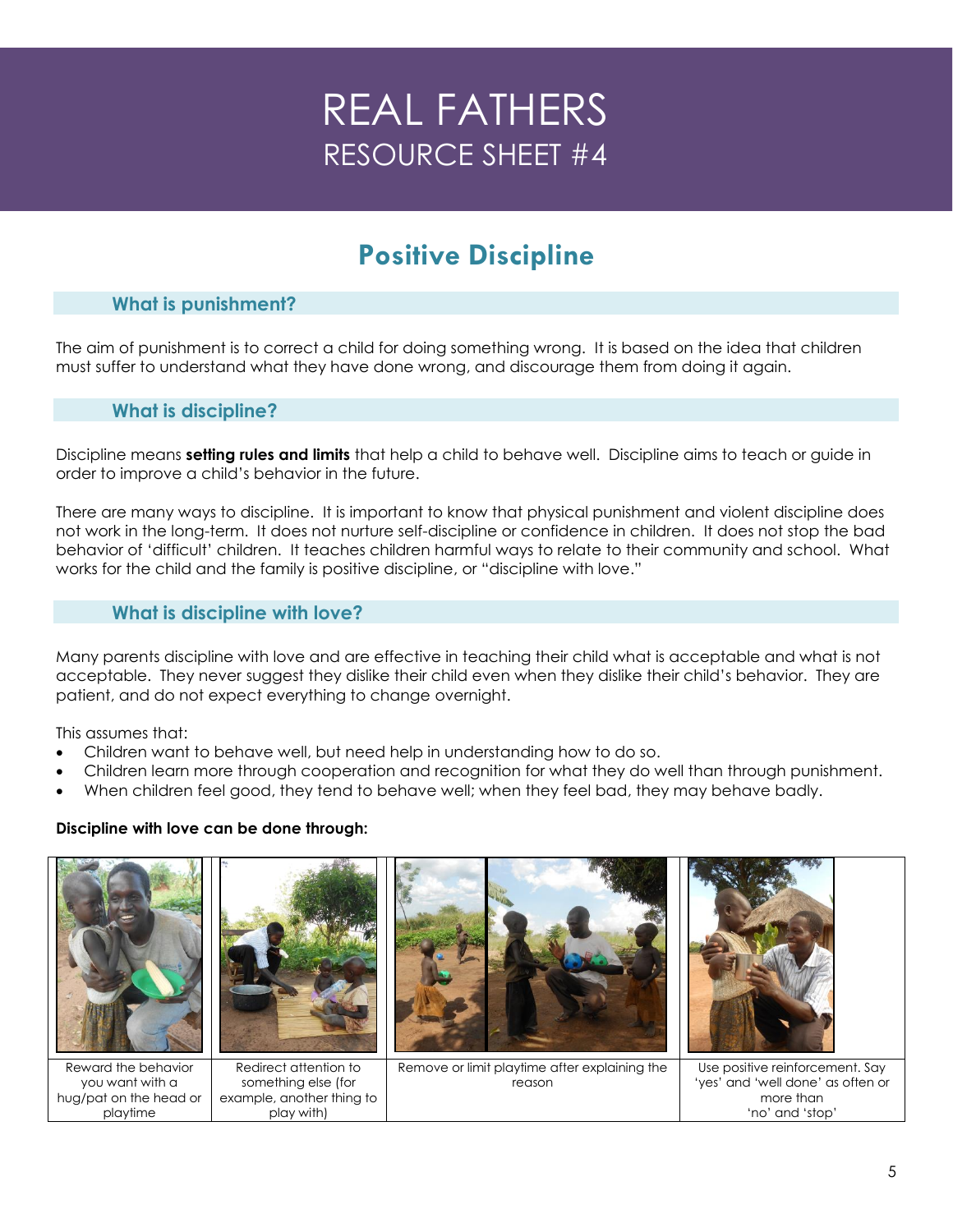# **Positive Discipline**

## **What is punishment?**

The aim of punishment is to correct a child for doing something wrong. It is based on the idea that children must suffer to understand what they have done wrong, and discourage them from doing it again.

## **What is discipline?**

Discipline means **setting rules and limits** that help a child to behave well. Discipline aims to teach or guide in order to improve a child's behavior in the future.

There are many ways to discipline. It is important to know that physical punishment and violent discipline does not work in the long-term. It does not nurture self-discipline or confidence in children. It does not stop the bad behavior of 'difficult' children. It teaches children harmful ways to relate to their community and school. What works for the child and the family is positive discipline, or "discipline with love."

## **What is discipline with love?**

Many parents discipline with love and are effective in teaching their child what is acceptable and what is not acceptable. They never suggest they dislike their child even when they dislike their child's behavior. They are patient, and do not expect everything to change overnight.

This assumes that:

- Children want to behave well, but need help in understanding how to do so.
- Children learn more through cooperation and recognition for what they do well than through punishment.
- When children feel good, they tend to behave well; when they feel bad, they may behave badly.

## **Discipline with love can be done through:**

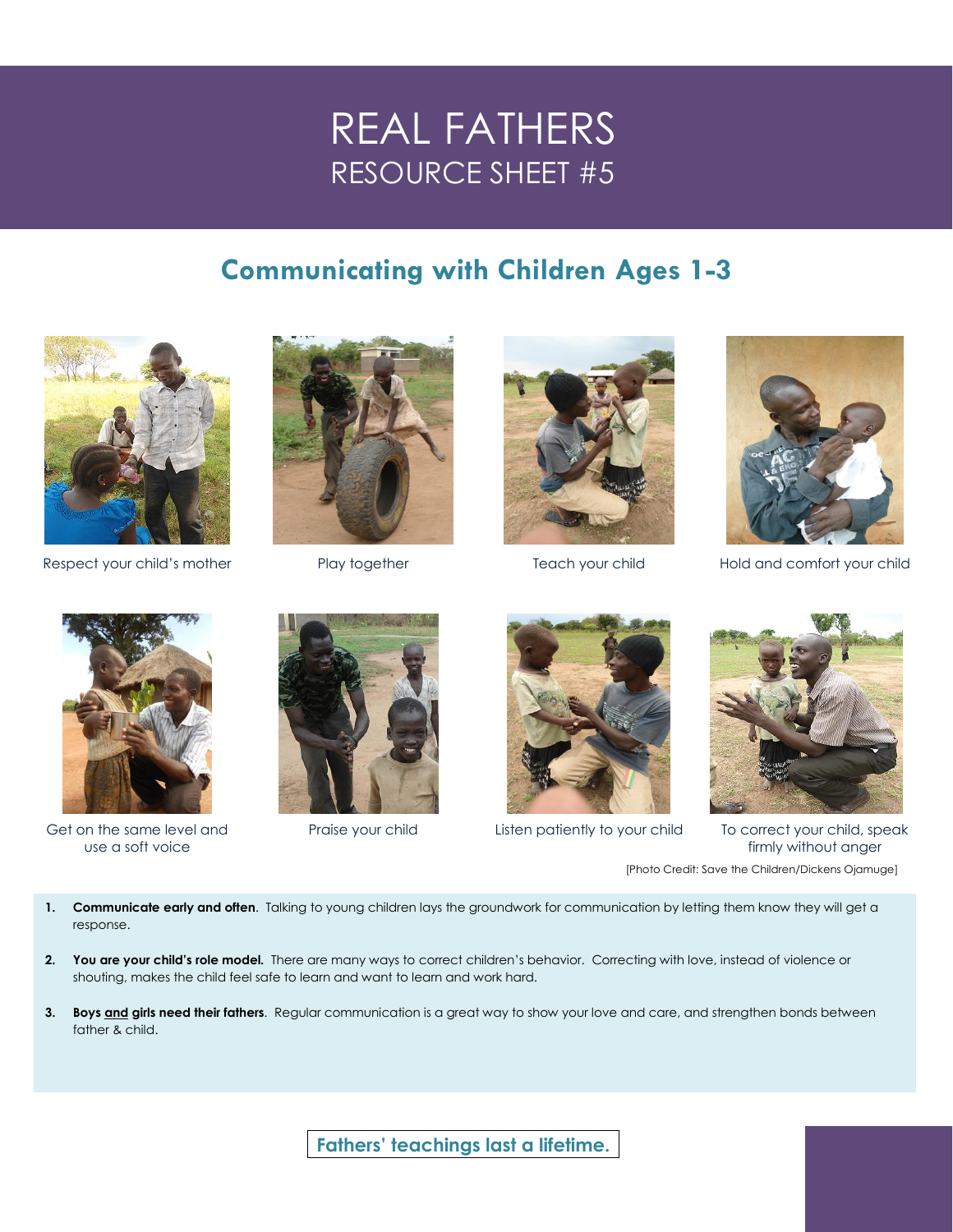# **Communicating with Children Ages 1-3**









Respect your child's mother **Play together** Play together Teach your child Hold and comfort your child



Get on the same level and use a soft voice







Praise your child Listen patiently to your child To correct your child, speak firmly without anger [Photo Credit: Save the Children/Dickens Ojamuge]

- **1. Communicate early and often**. Talking to young children lays the groundwork for communication by letting them know they will get a response.
- **2. You are your child's role model.** There are many ways to correct children's behavior. Correcting with love, instead of violence or shouting, makes the child feel safe to learn and want to learn and work hard.
- **3. Boys and girls need their fathers**. Regular communication is a great way to show your love and care, and strengthen bonds between father & child.

Fathers' teachings last a lifetime.<br> **Fathers**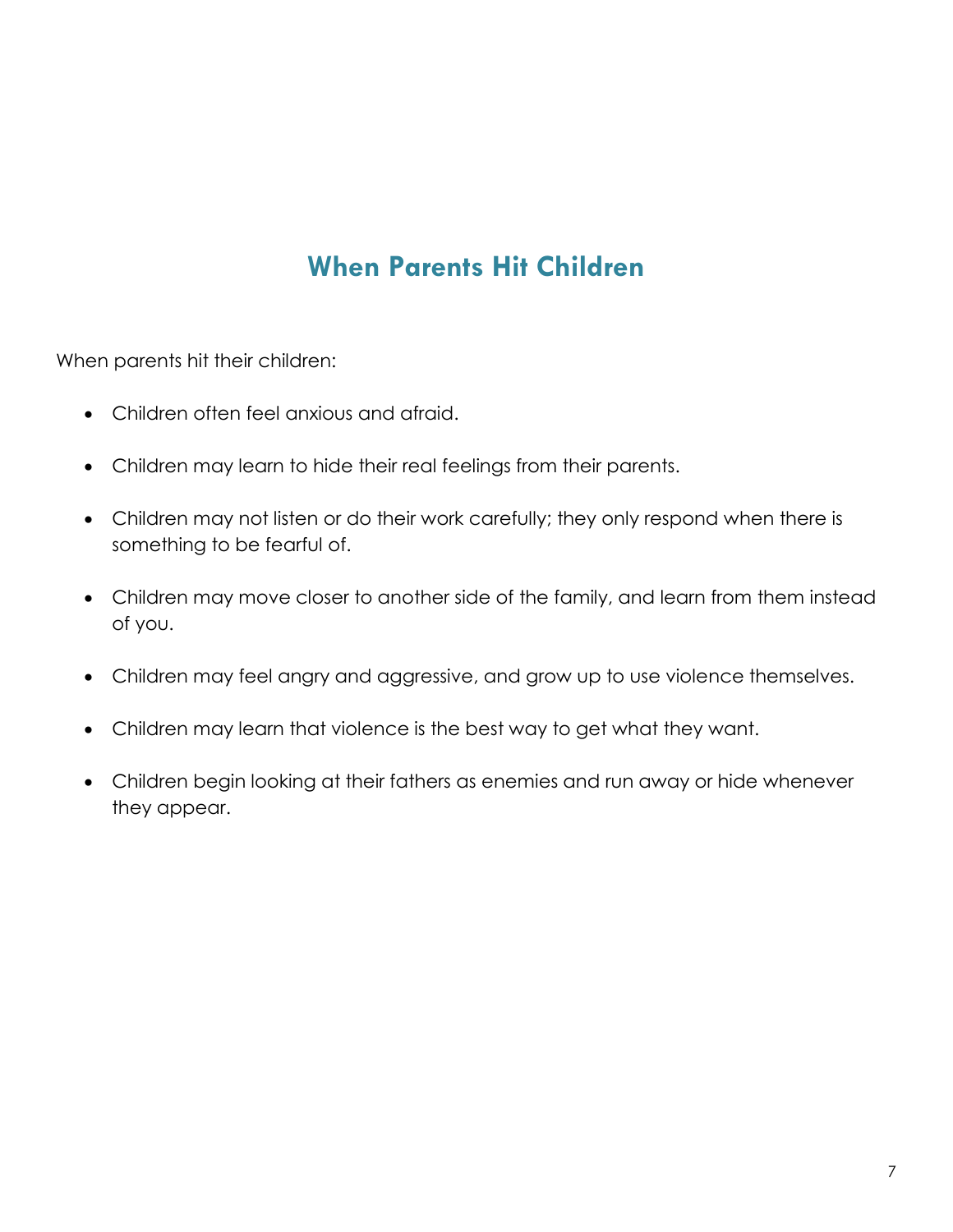# **When Parents Hit Children**

When parents hit their children:

- Children often feel anxious and afraid.
- Children may learn to hide their real feelings from their parents.
- Children may not listen or do their work carefully; they only respond when there is something to be fearful of.
- Children may move closer to another side of the family, and learn from them instead of you.
- Children may feel angry and aggressive, and grow up to use violence themselves.
- Children may learn that violence is the best way to get what they want.
- Children begin looking at their fathers as enemies and run away or hide whenever they appear.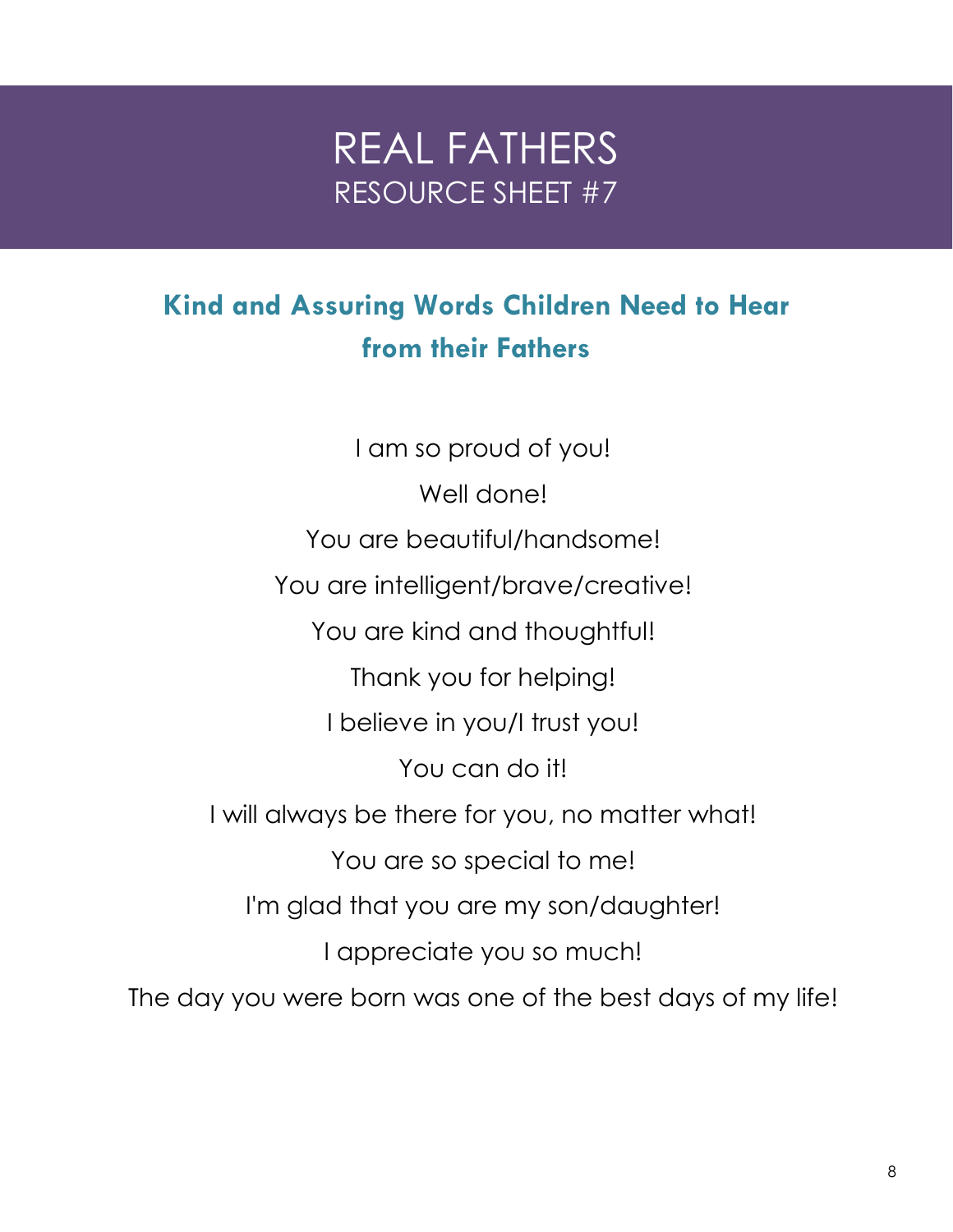REAL FATHERS

# **Kind and Assuring Words Children Need to Hear from their Fathers**

I am so proud of you! Well done! You are beautiful/handsome! You are intelligent/brave/creative! You are kind and thoughtful! Thank you for helping! I believe in you/I trust you! You can do it! I will always be there for you, no matter what! You are so special to me! I'm glad that you are my son/daughter! I appreciate you so much! The day you were born was one of the best days of my life!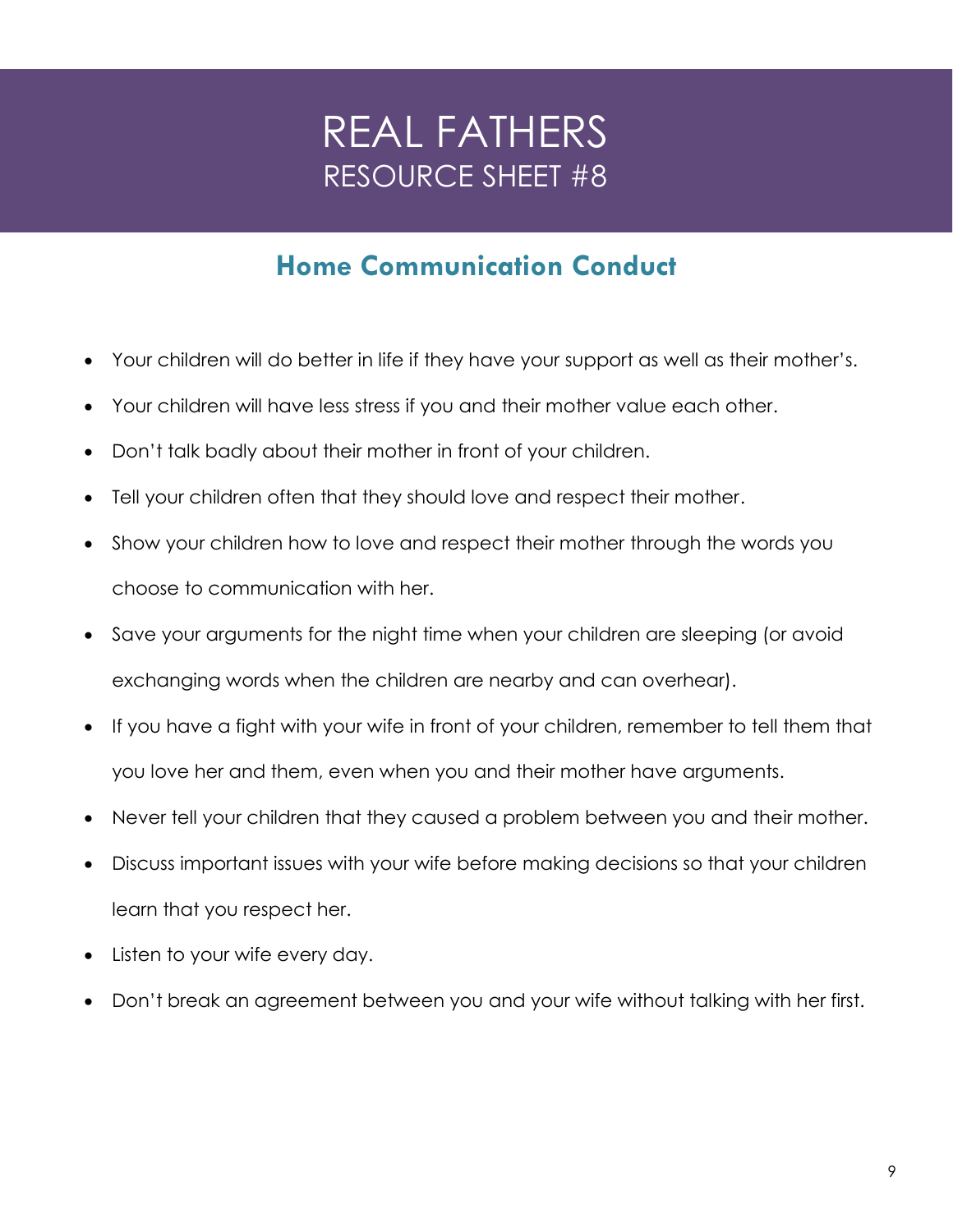# **Home Communication Conduct**

- Your children will do better in life if they have your support as well as their mother's.
- Your children will have less stress if you and their mother value each other.
- Don't talk badly about their mother in front of your children.
- Tell your children often that they should love and respect their mother.
- Show your children how to love and respect their mother through the words you choose to communication with her.
- Save your arguments for the night time when your children are sleeping (or avoid exchanging words when the children are nearby and can overhear).
- If you have a fight with your wife in front of your children, remember to tell them that you love her and them, even when you and their mother have arguments.
- Never tell your children that they caused a problem between you and their mother.
- Discuss important issues with your wife before making decisions so that your children learn that you respect her.
- Listen to your wife every day.
- Don't break an agreement between you and your wife without talking with her first.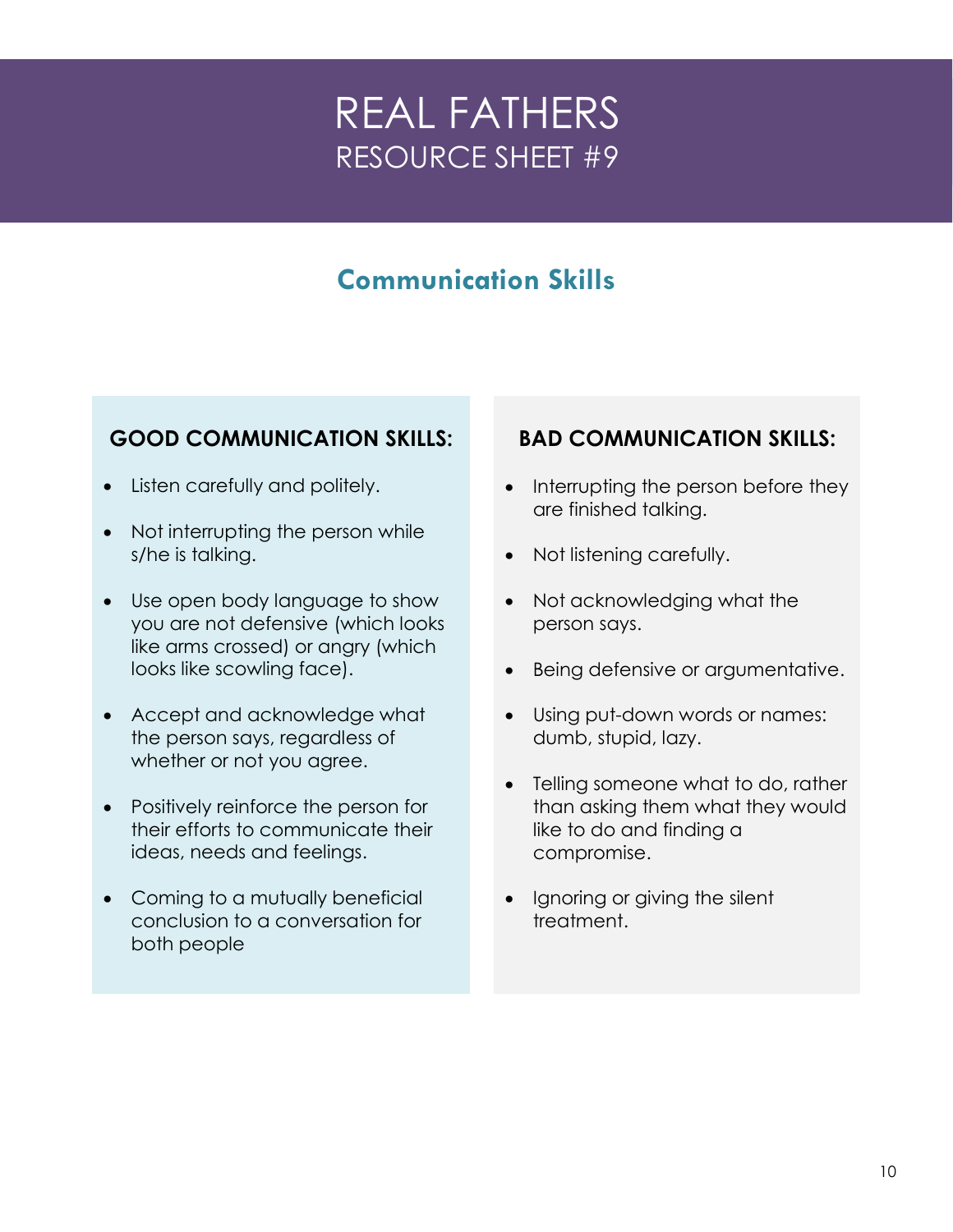# **Communication Skills**

# **GOOD COMMUNICATION SKILLS:**

- Listen carefully and politely.
- Not interrupting the person while s/he is talking.
- Use open body language to show you are not defensive (which looks like arms crossed) or angry (which looks like scowling face).
- Accept and acknowledge what the person says, regardless of whether or not you agree.
- Positively reinforce the person for their efforts to communicate their ideas, needs and feelings.
- Coming to a mutually beneficial conclusion to a conversation for both people

# **BAD COMMUNICATION SKILLS:**

- Interrupting the person before they are finished talking.
- Not listening carefully.
- Not acknowledging what the person says.
- Being defensive or argumentative.
- Using put-down words or names: dumb, stupid, lazy.
- Telling someone what to do, rather than asking them what they would like to do and finding a compromise.
- Ignoring or giving the silent treatment.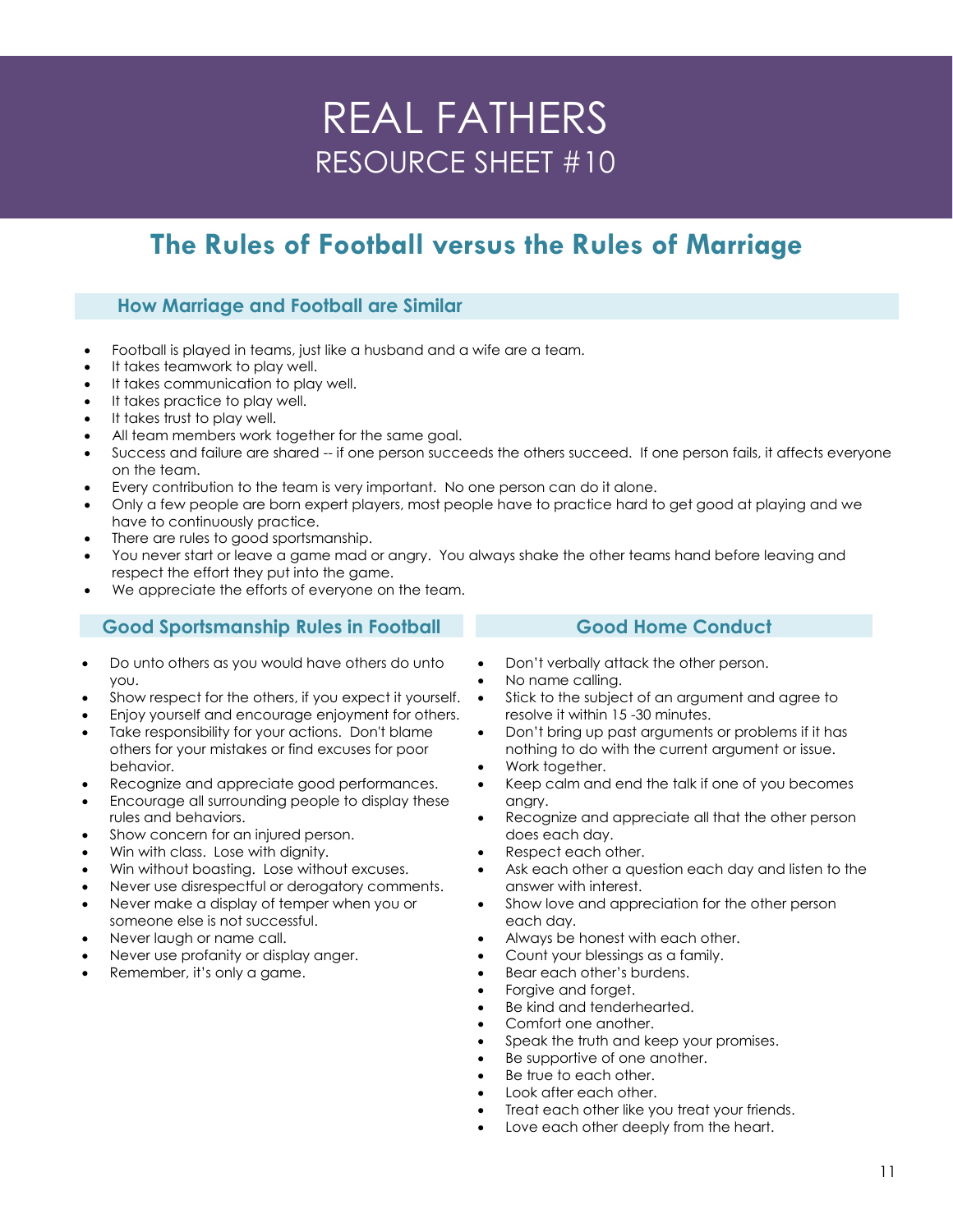# **The Rules of Football versus the Rules of Marriage**

## **How Marriage and Football are Similar**

- Football is played in teams, just like a husband and a wife are a team.
- It takes teamwork to play well.
- It takes communication to play well.
- It takes practice to play well.
- It takes trust to play well.
- All team members work together for the same goal.
- Success and failure are shared -- if one person succeeds the others succeed. If one person fails, it affects everyone on the team.
- Every contribution to the team is very important. No one person can do it alone.
- Only a few people are born expert players, most people have to practice hard to get good at playing and we have to continuously practice.
- There are rules to good sportsmanship.
- You never start or leave a game mad or angry. You always shake the other teams hand before leaving and respect the effort they put into the game.
- We appreciate the efforts of everyone on the team.

## **Good Sportsmanship Rules in Football**

- Do unto others as you would have others do unto you.
- Show respect for the others, if you expect it yourself.
- Enjoy yourself and encourage enjoyment for others.
- Take responsibility for your actions. Don't blame others for your mistakes or find excuses for poor behavior.
- Recognize and appreciate good performances.
- Encourage all surrounding people to display these rules and behaviors.
- Show concern for an injured person.
- Win with class. Lose with dignity.
- Win without boasting. Lose without excuses.
- Never use disrespectful or derogatory comments.
- Never make a display of temper when you or someone else is not successful.
- Never laugh or name call.
- Never use profanity or display anger.
- Remember, it's only a game.

#### Don't verbally attack the other person.

- No name calling.
- Stick to the subject of an argument and agree to resolve it within 15 -30 minutes.

**Good Home Conduct**

- Don't bring up past arguments or problems if it has nothing to do with the current argument or issue.
- Work together.
- Keep calm and end the talk if one of you becomes angry.
- Recognize and appreciate all that the other person does each day.
- Respect each other.
- Ask each other a question each day and listen to the answer with interest.
- Show love and appreciation for the other person each day.
- Always be honest with each other.
- Count your blessings as a family.
- Bear each other's burdens.
	- Forgive and forget.
	- Be kind and tenderhearted.
- Comfort one another.
- Speak the truth and keep your promises.
- Be supportive of one another.
- Be true to each other.
- Look after each other.
- Treat each other like you treat your friends.
- Love each other deeply from the heart.